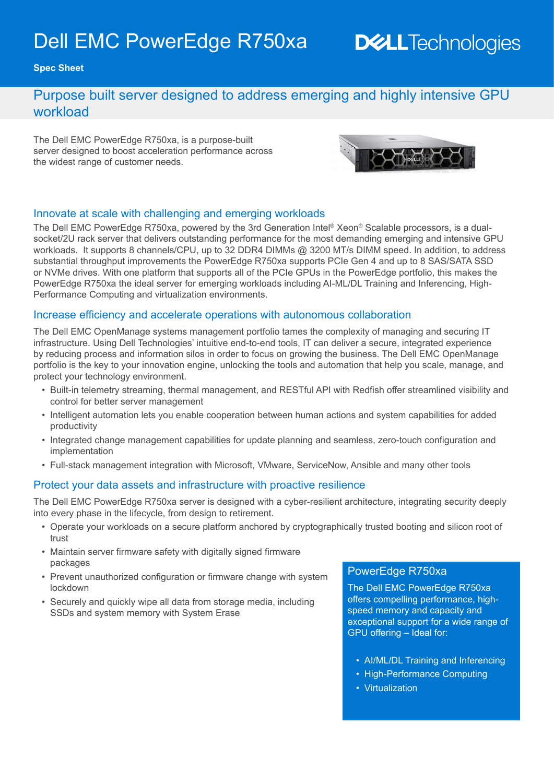# Dell EMC PowerEdge R750xa

## **DELL**Technologies

**Spec Sheet**

### Purpose built server designed to address emerging and highly intensive GPU workload

The Dell EMC PowerEdge R750xa, is a purpose-built server designed to boost acceleration performance across the widest range of customer needs.



#### Innovate at scale with challenging and emerging workloads

The Dell EMC PowerEdge R750xa, powered by the 3rd Generation Intel® Xeon® Scalable processors, is a dualsocket/2U rack server that delivers outstanding performance for the most demanding emerging and intensive GPU workloads. It supports 8 channels/CPU, up to 32 DDR4 DIMMs @ 3200 MT/s DIMM speed. In addition, to address substantial throughput improvements the PowerEdge R750xa supports PCIe Gen 4 and up to 8 SAS/SATA SSD or NVMe drives. With one platform that supports all of the PCIe GPUs in the PowerEdge portfolio, this makes the PowerEdge R750xa the ideal server for emerging workloads including AI-ML/DL Training and Inferencing, High-Performance Computing and virtualization environments.

#### Increase efficiency and accelerate operations with autonomous collaboration

The Dell EMC OpenManage systems management portfolio tames the complexity of managing and securing IT infrastructure. Using Dell Technologies' intuitive end-to-end tools, IT can deliver a secure, integrated experience by reducing process and information silos in order to focus on growing the business. The Dell EMC OpenManage portfolio is the key to your innovation engine, unlocking the tools and automation that help you scale, manage, and protect your technology environment.

- Built-in telemetry streaming, thermal management, and RESTful API with Redfish offer streamlined visibility and control for better server management
- Intelligent automation lets you enable cooperation between human actions and system capabilities for added productivity
- Integrated change management capabilities for update planning and seamless, zero-touch configuration and implementation
- Full-stack management integration with Microsoft, VMware, ServiceNow, Ansible and many other tools

#### Protect your data assets and infrastructure with proactive resilience

The Dell EMC PowerEdge R750xa server is designed with a cyber-resilient architecture, integrating security deeply into every phase in the lifecycle, from design to retirement.

- Operate your workloads on a secure platform anchored by cryptographically trusted booting and silicon root of trust
- Maintain server firmware safety with digitally signed firmware packages
- Prevent unauthorized configuration or firmware change with system lockdown
- Securely and quickly wipe all data from storage media, including SSDs and system memory with System Erase

#### PowerEdge R750xa

The Dell EMC PowerEdge R750xa offers compelling performance, highspeed memory and capacity and exceptional support for a wide range of GPU offering – Ideal for:

- AI/ML/DL Training and Inferencing
- High-Performance Computing
- Virtualization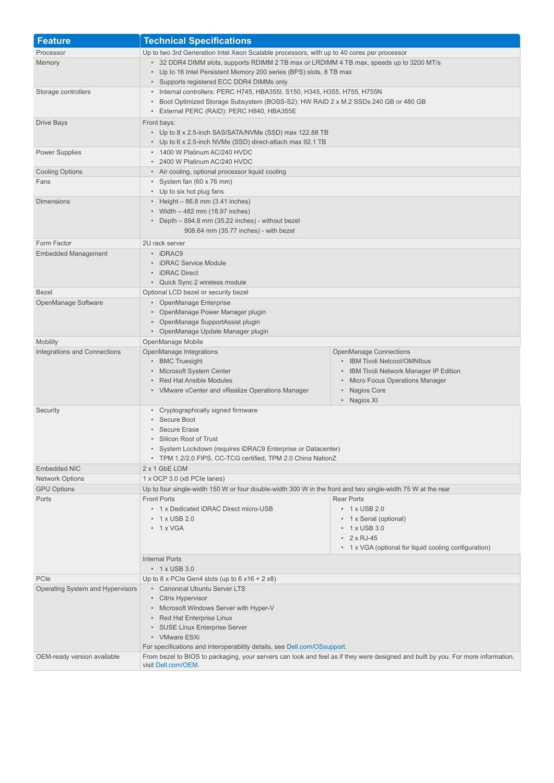| <b>Feature</b>                   | <b>Technical Specifications</b>                                                                                                                                                                                                                                                                                                          |
|----------------------------------|------------------------------------------------------------------------------------------------------------------------------------------------------------------------------------------------------------------------------------------------------------------------------------------------------------------------------------------|
| Processor                        | Up to two 3rd Generation Intel Xeon Scalable processors, with up to 40 cores per processor                                                                                                                                                                                                                                               |
| Memory                           | • 32 DDR4 DIMM slots, supports RDIMM 2 TB max or LRDIMM 4 TB max, speeds up to 3200 MT/s                                                                                                                                                                                                                                                 |
|                                  | • Up to 16 Intel Persistent Memory 200 series (BPS) slots, 8 TB max                                                                                                                                                                                                                                                                      |
|                                  | • Supports registered ECC DDR4 DIMMs only                                                                                                                                                                                                                                                                                                |
| Storage controllers              | • Internal controllers: PERC H745, HBA355I, S150, H345, H355, H755, H755N<br>• Boot Optimized Storage Subsystem (BOSS-S2): HW RAID 2 x M.2 SSDs 240 GB or 480 GB                                                                                                                                                                         |
|                                  | • External PERC (RAID): PERC H840, HBA355E                                                                                                                                                                                                                                                                                               |
| <b>Drive Bays</b>                | Front bays:<br>• Up to 8 x 2.5-inch SAS/SATA/NVMe (SSD) max 122.88 TB<br>• Up to 6 x 2.5-inch NVMe (SSD) direct-attach max 92.1 TB                                                                                                                                                                                                       |
| <b>Power Supplies</b>            | • 1400 W Platinum AC/240 HVDC<br>• 2400 W Platinum AC/240 HVDC                                                                                                                                                                                                                                                                           |
| <b>Cooling Options</b>           | • Air cooling, optional processor liquid cooling                                                                                                                                                                                                                                                                                         |
| Fans                             | • System fan (60 x 76 mm)<br>• Up to six hot plug fans                                                                                                                                                                                                                                                                                   |
| <b>Dimensions</b>                | • Height $-86.8$ mm (3.41 inches)<br>• Width - 482 mm (18.97 inches)<br>• Depth - 894.8 mm (35.22 inches) - without bezel<br>908.64 mm (35.77 inches) - with bezel                                                                                                                                                                       |
| Form Factor                      | 2U rack server                                                                                                                                                                                                                                                                                                                           |
| <b>Embedded Management</b>       | • iDRAC9<br>• iDRAC Service Module<br>• iDRAC Direct<br>• Quick Sync 2 wireless module                                                                                                                                                                                                                                                   |
| <b>Bezel</b>                     | Optional LCD bezel or security bezel                                                                                                                                                                                                                                                                                                     |
| OpenManage Software              | • OpenManage Enterprise<br>• OpenManage Power Manager plugin<br>• OpenManage SupportAssist plugin<br>• OpenManage Update Manager plugin                                                                                                                                                                                                  |
| <b>Mobility</b>                  | OpenManage Mobile                                                                                                                                                                                                                                                                                                                        |
| Integrations and Connections     | OpenManage Integrations<br><b>OpenManage Connections</b><br>• BMC Truesight<br>• IBM Tivoli Netcool/OMNIbus<br>• Microsoft System Center<br>• IBM Tivoli Network Manager IP Edition<br>• Red Hat Ansible Modules<br>• Micro Focus Operations Manager<br>• VMware vCenter and vRealize Operations Manager<br>• Nagios Core<br>• Nagios XI |
| Security                         | • Cryptographically signed firmware<br>• Secure Boot<br>• Secure Erase<br>• Silicon Root of Trust<br>System Lockdown (requires iDRAC9 Enterprise or Datacenter)<br>• TPM 1.2/2.0 FIPS, CC-TCG certified, TPM 2.0 China NationZ                                                                                                           |
| Embedded NIC                     | 2 x 1 GbE LOM                                                                                                                                                                                                                                                                                                                            |
| <b>Network Options</b>           | 1 x OCP 3.0 (x8 PCIe lanes)                                                                                                                                                                                                                                                                                                              |
| <b>GPU Options</b>               | Up to four single-width 150 W or four double-width 300 W in the front and two single-width 75 W at the rear                                                                                                                                                                                                                              |
| Ports                            | <b>Front Ports</b><br><b>Rear Ports</b><br>• 1 x Dedicated iDRAC Direct micro-USB<br>$\cdot$ 1 x USB 2.0<br>$\cdot$ 1 x USB 2.0<br>• 1 x Serial (optional)<br>$\cdot$ 1 x VGA<br>$\cdot$ 1 x USB 3.0<br>$\cdot$ 2 x RJ-45<br>• 1 x VGA (optional for liquid cooling configuration)                                                       |
|                                  | <b>Internal Ports</b><br>$\cdot$ 1 x USB 3.0                                                                                                                                                                                                                                                                                             |
| PCIe                             | Up to 8 x PCIe Gen4 slots (up to 6 $x16 + 2 x8$ )                                                                                                                                                                                                                                                                                        |
| Operating System and Hypervisors | • Canonical Ubuntu Server LTS<br>• Citrix Hypervisor<br>• Microsoft Windows Server with Hyper-V<br>• Red Hat Enterprise Linux<br>• SUSE Linux Enterprise Server<br>• VMware ESXi<br>For specifications and interoperability details, see Dell.com/OSsupport.                                                                             |
| OEM-ready version available      | From bezel to BIOS to packaging, your servers can look and feel as if they were designed and built by you. For more information,<br>visit Dell.com/OEM.                                                                                                                                                                                  |